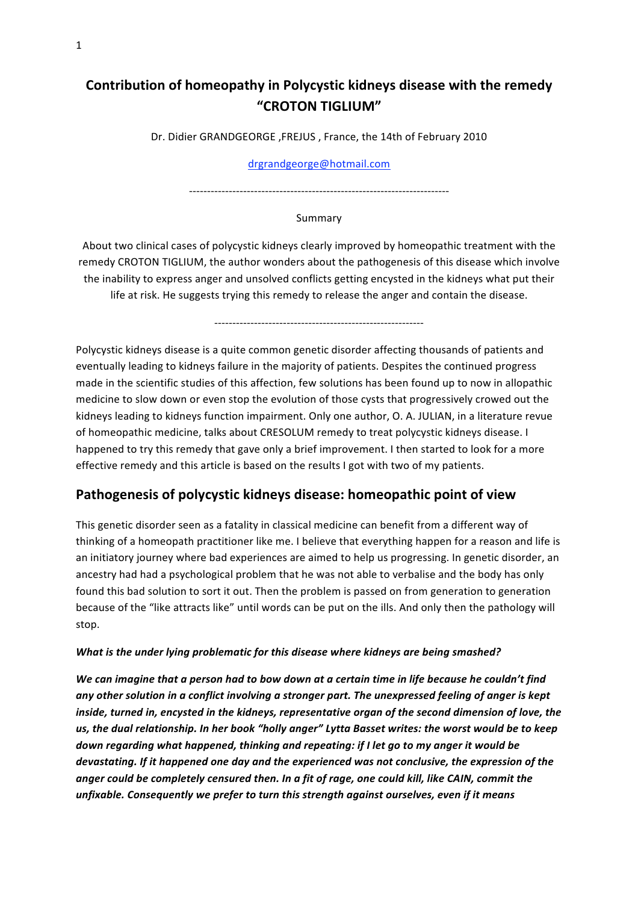# **Contribution of homeopathy in Polycystic kidneys disease with the remedy "CROTON TIGLIUM"**

Dr.
Didier
GRANDGEORGE ,FREJUS
,
France,
the
14th
of
February
2010

#### drgrandgeorge@hotmail.com

‐‐‐‐‐‐‐‐‐‐‐‐‐‐‐‐‐‐‐‐‐‐‐‐‐‐‐‐‐‐‐‐‐‐‐‐‐‐‐‐‐‐‐‐‐‐‐‐‐‐‐‐‐‐‐‐‐‐‐‐‐‐‐‐‐‐‐‐‐‐‐‐

#### Summary

About two clinical cases of polycystic kidneys clearly improved by homeopathic treatment with the remedy CROTON TIGLIUM, the author wonders about the pathogenesis of this disease which involve the inability to express anger and unsolved conflicts getting encysted in the kidneys what put their life at risk. He suggests trying this remedy to release the anger and contain the disease.

‐‐‐‐‐‐‐‐‐‐‐‐‐‐‐‐‐‐‐‐‐‐‐‐‐‐‐‐‐‐‐‐‐‐‐‐‐‐‐‐‐‐‐‐‐‐‐‐‐‐‐‐‐‐‐‐‐‐

Polycystic kidneys disease is a quite common genetic disorder affecting thousands of patients and eventually leading to kidneys failure in the majority of patients. Despites the continued progress made in the scientific studies of this affection, few solutions has been found up to now in allopathic medicine to slow down or even stop the evolution of those cysts that progressively crowed out the kidneys leading to kidneys function impairment. Only one author, O. A. JULIAN, in a literature revue of homeopathic medicine, talks about CRESOLUM remedy to treat polycystic kidneys disease. I happened to try this remedy that gave only a brief improvement. I then started to look for a more effective remedy and this article is based on the results I got with two of my patients.

# **Pathogenesis of polycystic kidneys disease: homeopathic point of view**

This genetic disorder seen as a fatality in classical medicine can benefit from a different way of thinking of a homeopath practitioner like me. I believe that everything happen for a reason and life is an initiatory journey where bad experiences are aimed to help us progressing. In genetic disorder, an ancestry had had a psychological problem that he was not able to verbalise and the body has only found this bad solution to sort it out. Then the problem is passed on from generation to generation because of the "like attracts like" until words can be put on the ills. And only then the pathology will stop.

### *What is the under lying problematic for this disease where kidneys are being smashed?*

*We can imagine that a person had to bow down at a certain time in life because he couldn't find any other solution in a conflict involving a stronger part. The unexpressed feeling of anger is kept inside, turned in, encysted in the kidneys, representative organ of the second dimension of love, the us, the dual relationship. In her book "holly anger" Lytta Basset writes: the worst would be to keep down regarding what happened, thinking and repeating: if I let go to my anger it would be devastating. If it happened one day and the experienced was not conclusive, the expression of the anger could be completely censured then. In a fit of rage, one could kill, like CAIN, commit the unfixable. Consequently we prefer to turn this strength against ourselves, even if it means*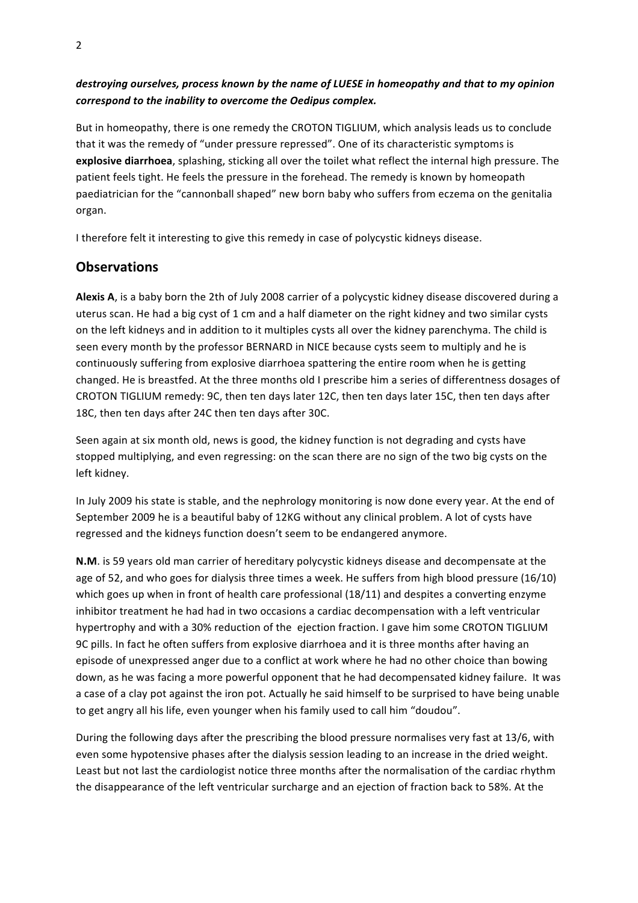### *destroying ourselves, process known by the name of LUESE in homeopathy and that to my opinion correspond to the inability to overcome the Oedipus complex.*

But in homeopathy, there is one remedy the CROTON TIGLIUM, which analysis leads us to conclude that it was the remedy of "under pressure repressed". One of its characteristic symptoms is explosive diarrhoea, splashing, sticking all over the toilet what reflect the internal high pressure. The patient feels tight. He feels the pressure in the forehead. The remedy is known by homeopath paediatrician for the "cannonball shaped" new born baby who suffers from eczema on the genitalia organ.

I therefore felt it interesting to give this remedy in case of polycystic kidneys disease.

## **Observations**

Alexis A, is a baby born the 2th of July 2008 carrier of a polycystic kidney disease discovered during a uterus scan. He had a big cyst of 1 cm and a half diameter on the right kidney and two similar cysts on
the
left
kidneys
and
in
addition
to
it
multiples
cysts
all
over
the
kidney
parenchyma.
The
child
is seen every month by the professor BERNARD in NICE because cysts seem to multiply and he is continuously
suffering
from
explosive
diarrhoea
spattering
the
entire
room
when
he
is
getting changed.
He
is
breastfed.
At
the
three
months
old
I
prescribe
him
a
series
of
differentness
dosages
of CROTON
TIGLIUM
remedy:
9C,
then
ten
days
later
12C,
then
ten
days
later
15C,
then
ten
days
after 18C,
then
ten
days
after
24C
then
ten
days
after
30C.

Seen again at six month old, news is good, the kidney function is not degrading and cysts have stopped multiplying, and even regressing: on the scan there are no sign of the two big cysts on the left
kidney.

In July 2009 his state is stable, and the nephrology monitoring is now done every year. At the end of September 2009 he is a beautiful baby of 12KG without any clinical problem. A lot of cysts have regressed and the kidneys function doesn't seem to be endangered anymore.

N.M. is 59 years old man carrier of hereditary polycystic kidneys disease and decompensate at the age of 52, and who goes for dialysis three times a week. He suffers from high blood pressure (16/10) which goes up when in front of health care professional (18/11) and despites a converting enzyme inhibitor treatment he had had in two occasions a cardiac decompensation with a left ventricular hypertrophy and with a 30% reduction of the ejection fraction. I gave him some CROTON TIGLIUM 9C pills. In fact he often suffers from explosive diarrhoea and it is three months after having an episode of unexpressed anger due to a conflict at work where he had no other choice than bowing down,
as
he
was
facing
a
more
powerful
opponent
that
he
had
decompensated
kidney
failure.

It
was a case of a clay pot against the iron pot. Actually he said himself to be surprised to have being unable to get angry all his life, even younger when his family used to call him "doudou".

During the following days after the prescribing the blood pressure normalises very fast at 13/6, with even some hypotensive phases after the dialysis session leading to an increase in the dried weight. Least but not last the cardiologist notice three months after the normalisation of the cardiac rhythm the disappearance of the left ventricular surcharge and an ejection of fraction back to 58%. At the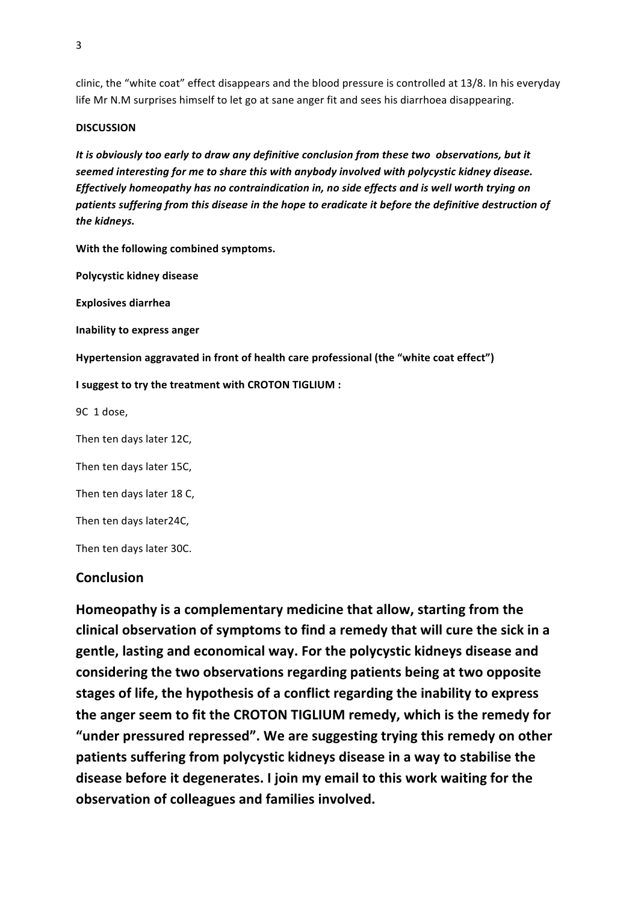clinic,
the
"white
coat"
effect
disappears
and
the
blood
pressure
is
controlled
at
13/8.
In
his
everyday life Mr N.M surprises himself to let go at sane anger fit and sees his diarrhoea disappearing.

#### **DISCUSSION**

*It is obviously too early to draw any definitive conclusion from these two observations, but it seemed interesting for me to share this with anybody involved with polycystic kidney disease. Effectively homeopathy has no contraindication in, no side effects and is well worth trying on patients suffering from this disease in the hope to eradicate it before the definitive destruction of the kidneys.*

**With the following combined symptoms.**

**Polycystic kidney disease**

**Explosives diarrhea**

**Inability to express anger**

**Hypertension aggravated in front of health care professional (the "white coat effect")**

#### **I suggest to try the treatment with CROTON TIGLIUM :**

9C

1
dose,

Then
ten
days
later 12C,

Then
ten
days
later
15C,

Then
ten
days
later
18
C,

Then
ten
days
later24C,

Then
ten
days
later
30C.

### **Conclusion**

**Homeopathy is a complementary medicine that allow, starting from the clinical observation of symptoms to find a remedy that will cure the sick in a gentle, lasting and economical way. For the polycystic kidneys disease and considering the two observations regarding patients being at two opposite stages of life, the hypothesis of a conflict regarding the inability to express the anger seem to fit the CROTON TIGLIUM remedy, which is the remedy for "under pressured repressed". We are suggesting trying this remedy on other patients suffering from polycystic kidneys disease in a way to stabilise the disease before it degenerates. I join my email to this work waiting for the observation of colleagues and families involved.**